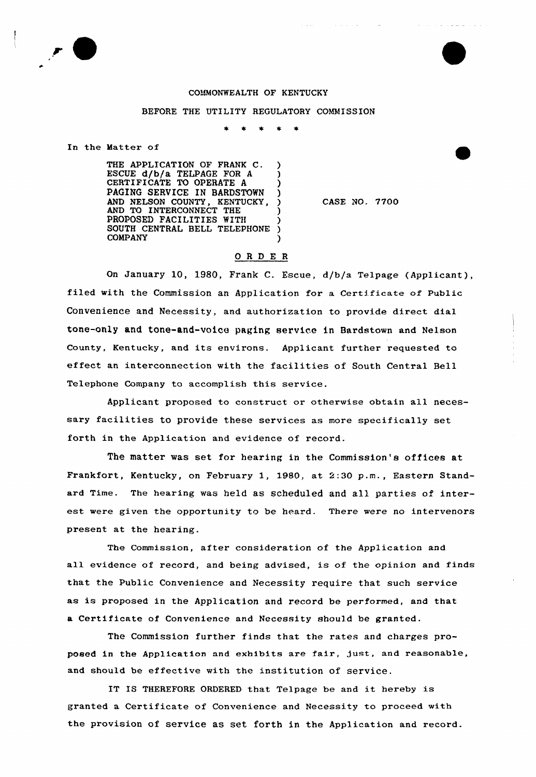

## COMMONWEALTH OF KENTUCKY

## BEFORE THE UTILITY REGULATORY COMMISSION

 $\star$ 

In the Matter of

THE APPLICATION OF FRANK C. ESCUE d/b/a TELPAGE FOR A CERTIFICATE TO OPERATE A )<br>PAGING SERVICE IN BARDSTOWN ) PAGING SERVICE IN BARDSTOWN AND NELSON COUNTY, KENTUCKY, ) AND TO INTERCONNECT THE ) PROPOSED FACILITIES WITH SOUTH CENTRAL BELL TELEPHONE **COMPANY** 

CASE NO. 7700

## ORDER

On January 10, 1980, Frank C. Escue, d/b/a Telpage (Applicant), filed with the Commission an Application for a Certificate of Public Convenience and Necessity, and authorization to provide direct dial tone-only and tone-and-voice paging service in Bardstown and Nelson County, Kentucky, and its environs. Applicant further requested to effect an interconnection with the facilities of South Central Bell Telephone Company to accomplish this service.

Applicant proposed to construct or otherwise obtain all necessary facilities to provide these services as more specifically set forth in the Application and evidence of record.

The matter was set for hearing in the Commission's offices at Frankfort, Kentucky, on February 1, 1980, at 2:30 p.m., Eastern Standard Time. The hearing was held as scheduled and all parties of interest were given the opportunity to be heard. There were no intervenors present at the hearing.

The Commission, after consideration of the Application and all evidence of record, and being advised, is of the opinion and finds that the Public Convenience and Necessity require that such service as is proposed in the Application and record be performed, and that a Certificate of Convenience and Necessity should be granted.

The Commission further finds that the rates and charges proposed in the Application and exhibits are fair, just, and reasonable, and should be effective with the institution of service.

IT IS THEREFORE ORDERED that Telpage be and it hereby is granted a Certificate of Convenience and Necessity to proceed with the provision of service as set forth in the Application and record.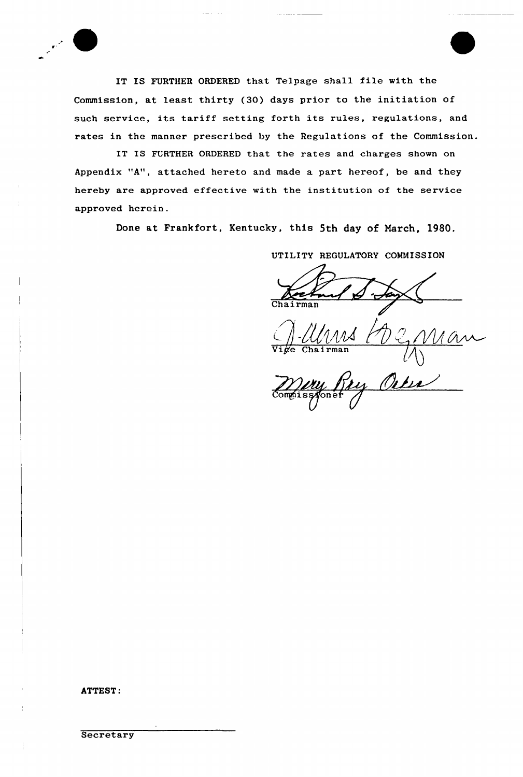IT IS FURTHER ORDERED that Telpage shall file with the Commission, at least thirty (30} days prior to the initiation of such service, its tariff setting forth its rules, regulations, and rates in the manner prescribed by the Regulations of the Commission.

IT IS FURTHER ORDERED that the rates and charges shown on Appendix "A", attached hereto and made a part hereof, be and they hereby are approved effective with the institution of the service approved herein.

Done at Frankfort, Kentucky, this 5th day of March, 1980.

UTILITY REGULATORY COMMISSION

 $\overline{\mathtt{Vi}}$ ge Chairma Man

~<br>*MWy RN*<br>Compissyoner

ATTEST: